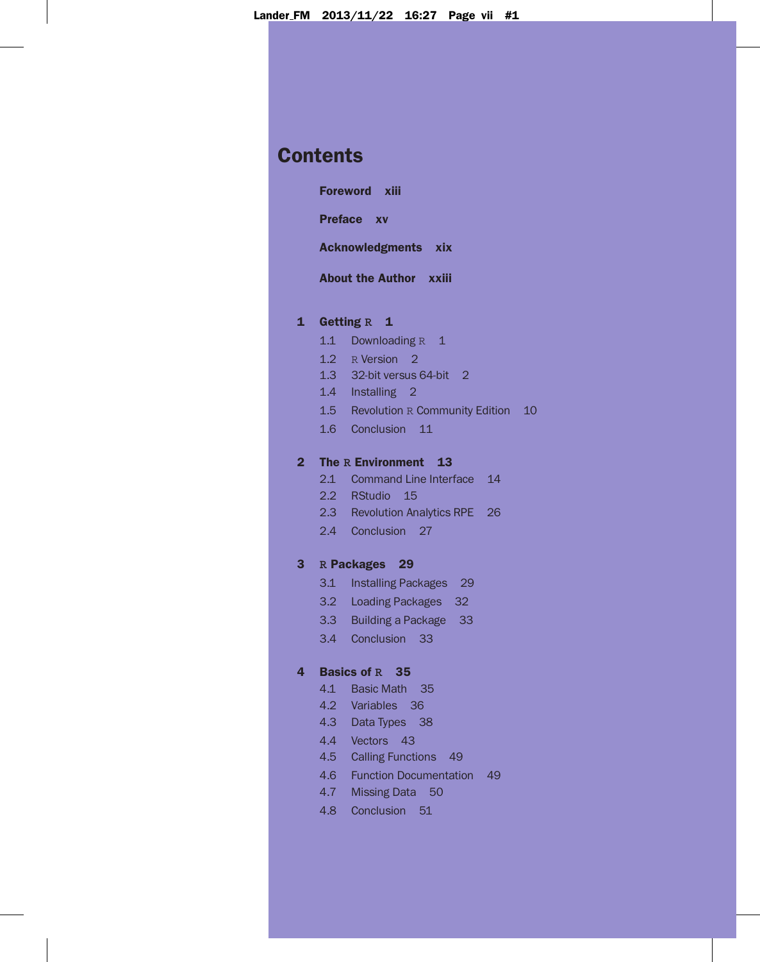# **Contents**

Foreword xiii

Preface xv

Acknowledgments xix

About the Author xxiii

## 1 Getting **R** 1

- 1.1 Downloading R 1
- 1.2 R Version 2
- 1.3 32-bit versus 64-bit 2
- 1.4 Installing 2
- 1.5 Revolution R Community Edition 10
- 1.6 Conclusion 11

# 2 The **R** Environment 13

- 2.1 Command Line Interface 14
- 2.2 RStudio 15
- 2.3 Revolution Analytics RPE 26
- 2.4 Conclusion 27

# 3 **R** Packages 29

- 3.1 Installing Packages 29
- 3.2 Loading Packages 32
- 3.3 Building a Package 33
- 3.4 Conclusion 33

# 4 Basics of **R** 35

- 4.1 Basic Math 35
- 4.2 Variables 36
- 4.3 Data Types 38
- 4.4 Vectors 43
- 4.5 Calling Functions 49
- 4.6 Function Documentation 49
- 4.7 Missing Data 50
- 4.8 Conclusion 51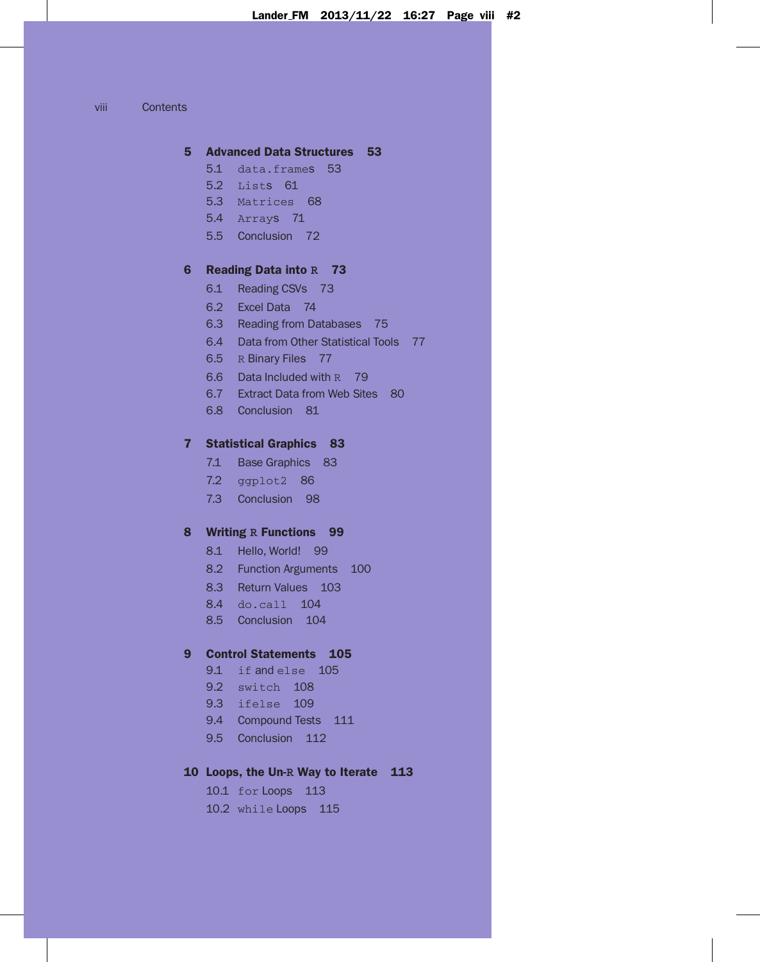viii Contents

#### 5 Advanced Data Structures 53

- 5.1 data.frames 53
- 5.2 Lists 61
- 5.3 Matrices 68
- 5.4 Arrays 71
- 5.5 Conclusion 72

# 6 Reading Data into **R** 73

- 6.1 Reading CSVs 73
- 6.2 Excel Data 74
- 6.3 Reading from Databases 75
- 6.4 Data from Other Statistical Tools 77
- 6.5 R Binary Files 77
- 6.6 Data Included with R 79
- 6.7 Extract Data from Web Sites 80
- 6.8 Conclusion 81

# 7 Statistical Graphics 83

- 7.1 Base Graphics 83
- 7.2 ggplot2 86
- 7.3 Conclusion 98

#### 8 Writing **R** Functions 99

- 8.1 Hello, World! 99
- 8.2 Function Arguments 100
- 8.3 Return Values 103
- 8.4 do.call 104
- 8.5 Conclusion 104

# 9 Control Statements 105

- 9.1 if and else 105
- 9.2 switch 108
- 9.3 ifelse 109
- 9.4 Compound Tests 111
- 9.5 Conclusion 112

# 10 Loops, the Un-**R** Way to Iterate 113

10.1 for Loops 113

10.2 while Loops 115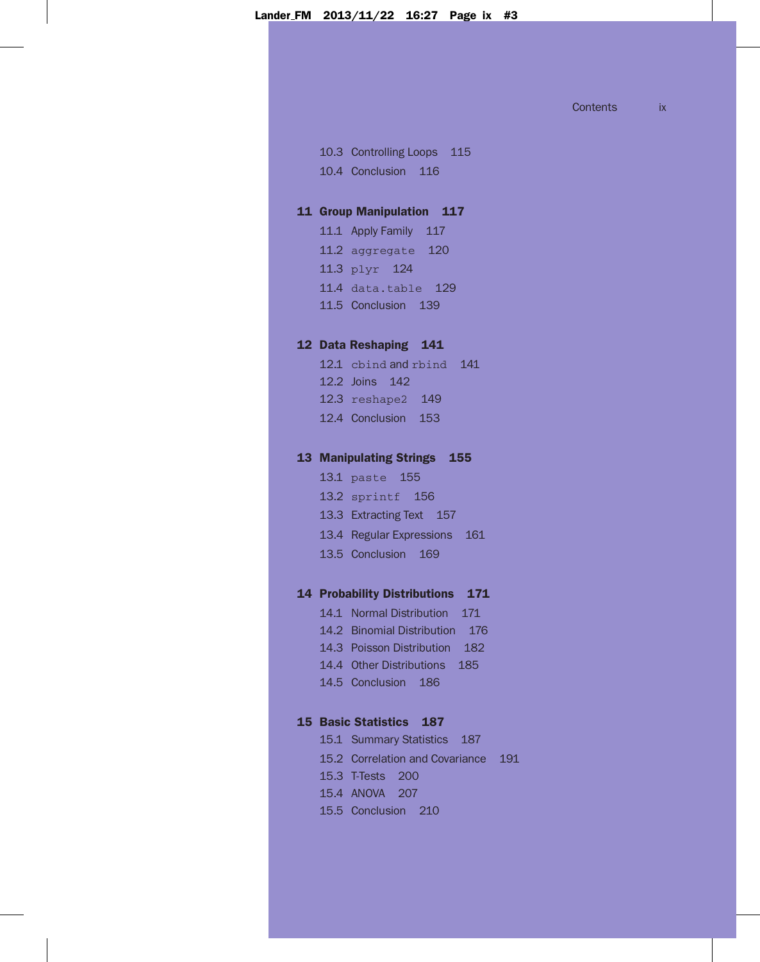Contents ix

10.3 Controlling Loops 115 10.4 Conclusion 116

# 11 Group Manipulation 117

11.1 Apply Family 117 11.2 aggregate 120 11.3 plyr 124 11.4 data.table 129 11.5 Conclusion 139

# 12 Data Reshaping 141

12.1 cbind and rbind 141 12.2 Joins 142 12.3 reshape2 149 12.4 Conclusion 153

#### 13 Manipulating Strings 155

13.1 paste 155

13.2 sprintf 156

- 13.3 Extracting Text 157
- 13.4 Regular Expressions 161
- 13.5 Conclusion 169

# 14 Probability Distributions 171

14.1 Normal Distribution 171

- 14.2 Binomial Distribution 176
- 14.3 Poisson Distribution 182
- 14.4 Other Distributions 185
- 14.5 Conclusion 186

#### 15 Basic Statistics 187

- 15.1 Summary Statistics 187 15.2 Correlation and Covariance 191 15.3 T-Tests 200
- 15.4 ANOVA 207
- 15.5 Conclusion 210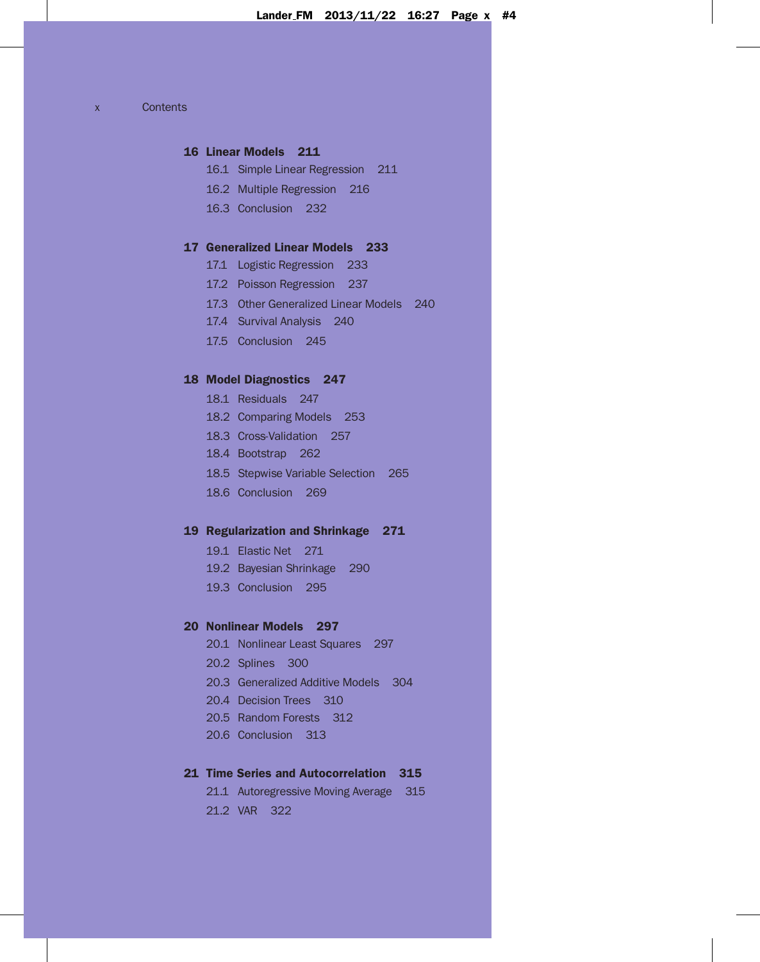x Contents

# 16 Linear Models 211

- 16.1 Simple Linear Regression 211
- 16.2 Multiple Regression 216
- 16.3 Conclusion 232

# 17 Generalized Linear Models 233

- 17.1 Logistic Regression 233
- 17.2 Poisson Regression 237
- 17.3 Other Generalized Linear Models 240
- 17.4 Survival Analysis 240
- 17.5 Conclusion 245

# 18 Model Diagnostics 247

- 18.1 Residuals 247
- 18.2 Comparing Models 253
- 18.3 Cross-Validation 257
- 18.4 Bootstrap 262
- 18.5 Stepwise Variable Selection 265
- 18.6 Conclusion 269

# 19 Regularization and Shrinkage 271

- 19.1 Elastic Net 271
- 19.2 Bayesian Shrinkage 290
- 19.3 Conclusion 295

# 20 Nonlinear Models 297

- 20.1 Nonlinear Least Squares 297
- 20.2 Splines 300
- 20.3 Generalized Additive Models 304
- 20.4 Decision Trees 310
- 20.5 Random Forests 312
- 20.6 Conclusion 313

# 21 Time Series and Autocorrelation 315

21.1 Autoregressive Moving Average 315 21.2 VAR 322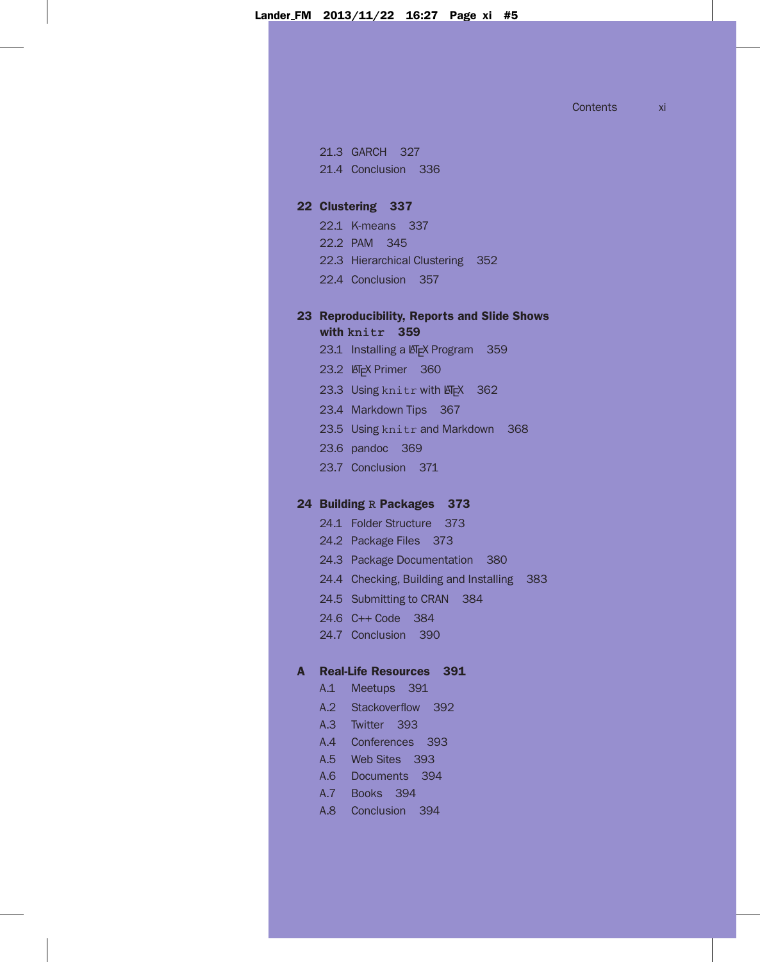Contents xi

21.3 GARCH 327 21.4 Conclusion 336

#### 22 Clustering 337

- 22.1 K-means 337
- 22.2 PAM 345
- 22.3 Hierarchical Clustering 352
- 22.4 Conclusion 357

# 23 Reproducibility, Reports and Slide Shows with **knitr** 359

- 23.1 Installing a LATEX Program 359
- 23.2 **LATEX Primer** 360
- 23.3 Using knitr with LATEX 362
- 23.4 Markdown Tips 367
- 23.5 Using knitr and Markdown 368
- 23.6 pandoc 369
- 23.7 Conclusion 371

# 24 Building **R** Packages 373

- 24.1 Folder Structure 373
- 24.2 Package Files 373
- 24.3 Package Documentation 380
- 24.4 Checking, Building and Installing 383
- 24.5 Submitting to CRAN 384
- 24.6 C++ Code 384
- 24.7 Conclusion 390

# A Real-Life Resources 391

- A.1 Meetups 391
- A.2 Stackoverflow 392
- A.3 Twitter 393
- A.4 Conferences 393
- A.5 Web Sites 393
- A.6 Documents 394
- A.7 Books 394
- A.8 Conclusion 394